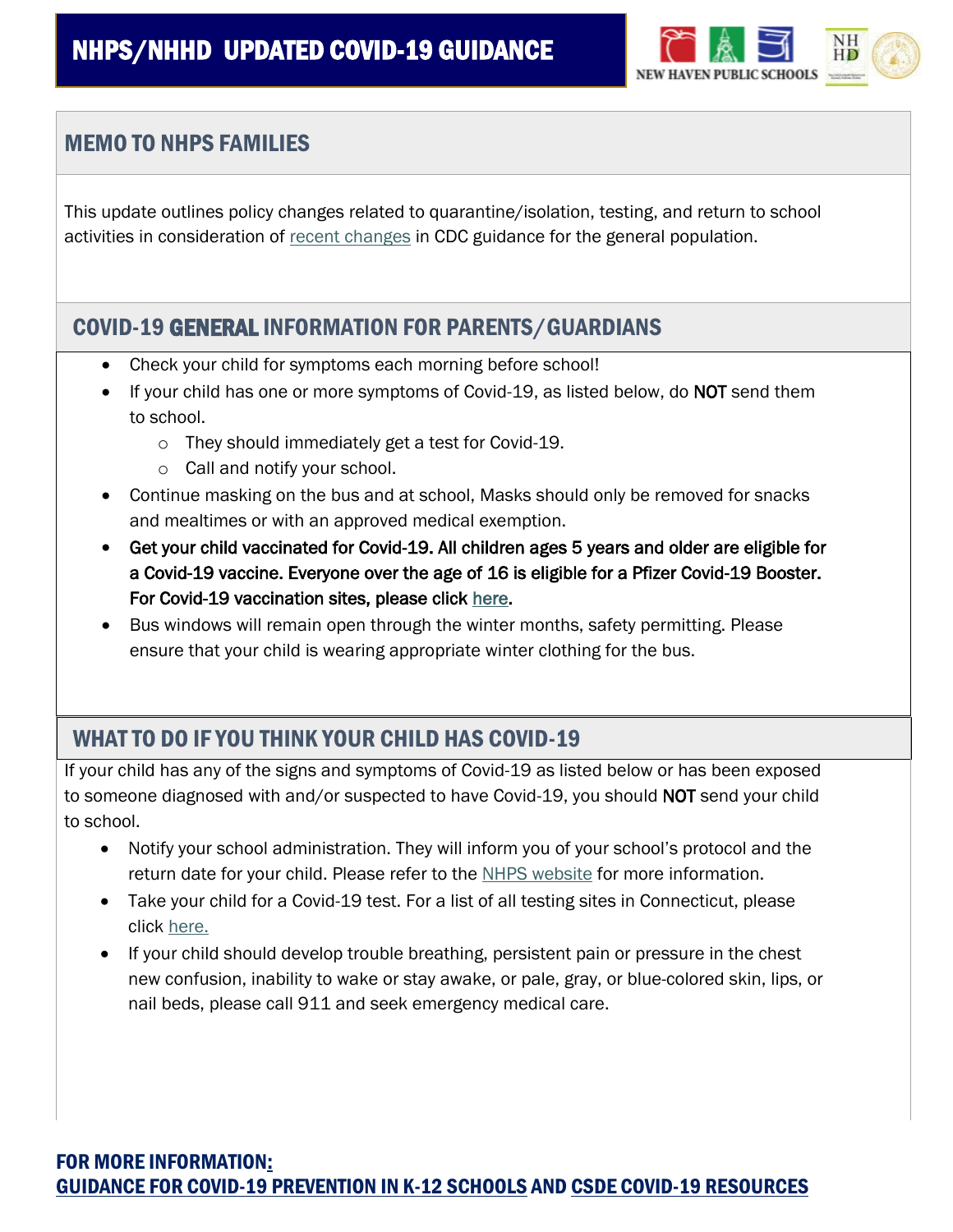

### MEMO TO NHPS FAMILIES

This update outlines policy changes related to quarantine/isolation, testing, and return to school activities in consideration of [recent changes](https://www.cdc.gov/media/releases/2021/s1227-isolation-quarantine-guidance.html) in CDC guidance for the general population.

#### COVID-19 GENERAL INFORMATION FOR PARENTS/GUARDIANS

- Check your child for symptoms each morning before school!
- If your child has one or more symptoms of Covid-19, as listed below, do NOT send them to school.
	- o They should immediately get a test for Covid-19.
	- o Call and notify your school.
- Continue masking on the bus and at school, Masks should only be removed for snacks and mealtimes or with an approved medical exemption.
- Get your child vaccinated for Covid-19. All children ages 5 years and older are eligible for a Covid-19 vaccine. Everyone over the age of 16 is eligible for a Pfizer Covid-19 Booster. For Covid-19 vaccination sites, please click here.
- Bus windows will remain open through the winter months, safety permitting. Please ensure that your child is wearing appropriate winter clothing for the bus.

## WHAT TO DO IF YOU THINK YOUR CHILD HAS COVID-19

If your child has any of the signs and symptoms of Covid-19 as listed below or has been exposed to someone diagnosed with and/or suspected to have Covid-19, you should NOT send your child to school.

- Notify your school administration. They will inform you of your school's protocol and the return date for your child. Please refer to the NHPS website for more information.
- Take your child for a Covid-19 test. For a list of all testing sites in Connecticut, please click here.
- If your child should develop trouble breathing, persistent pain or pressure in the chest new confusion, inability to wake or stay awake, or pale, gray, or blue-colored skin, lips, or nail beds, please call 911 and seek emergency medical care.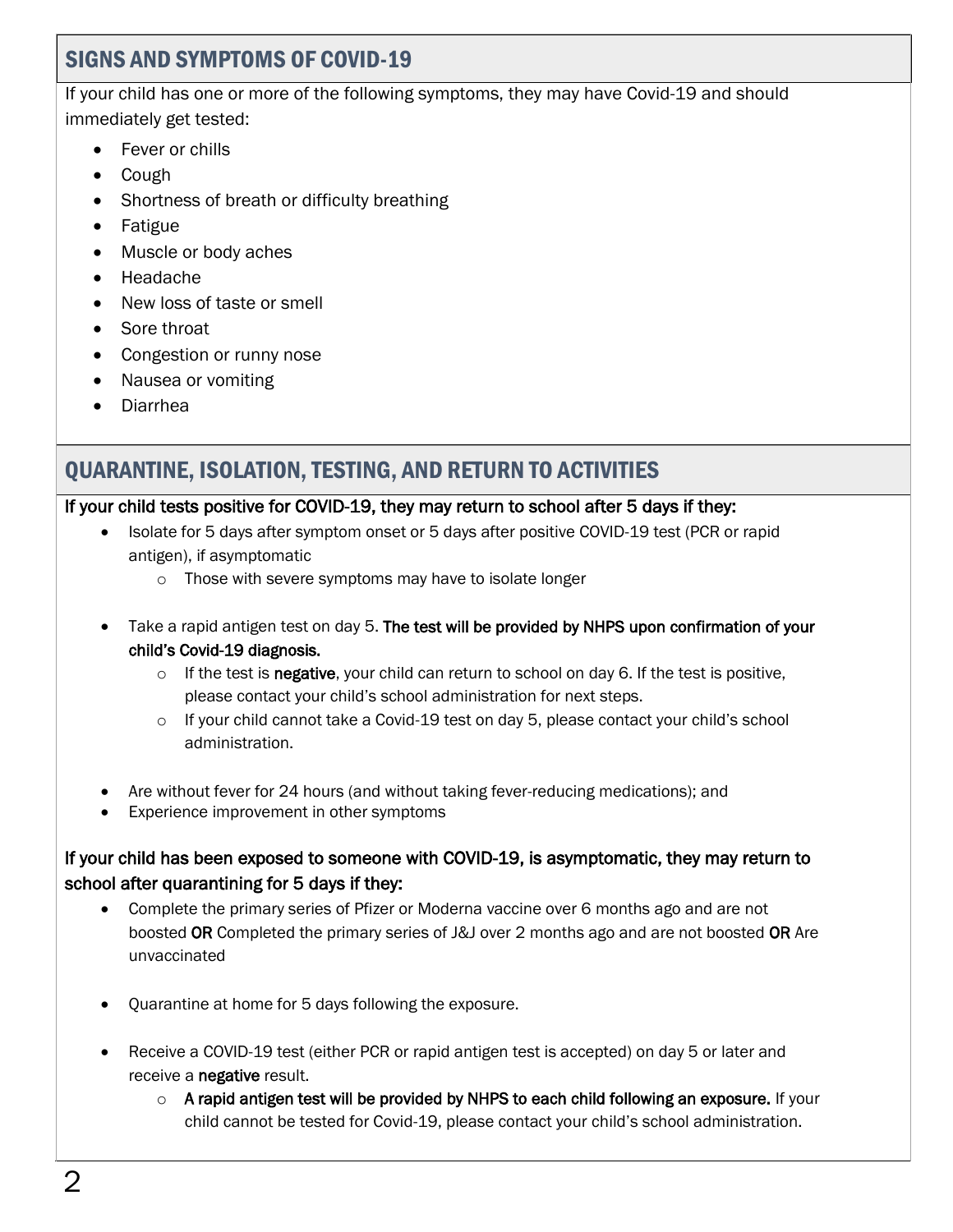### SIGNS AND SYMPTOMS OF COVID-19

If your child has one or more of the following symptoms, they may have Covid-19 and should immediately get tested:

- Fever or chills
- Cough
- Shortness of breath or difficulty breathing
- Fatigue
- Muscle or body aches
- Headache
- New loss of taste or smell
- Sore throat
- Congestion or runny nose
- Nausea or vomiting
- Diarrhea

# QUARANTINE, ISOLATION, TESTING, AND RETURN TO ACTIVITIES

#### If your child tests positive for COVID-19, they may return to school after 5 days if they:

- Isolate for 5 days after symptom onset or 5 days after positive COVID-19 test (PCR or rapid antigen), if asymptomatic
	- o Those with severe symptoms may have to isolate longer
- Take a rapid antigen test on day 5. The test will be provided by NHPS upon confirmation of your child's Covid-19 diagnosis.
	- $\circ$  If the test is negative, your child can return to school on day 6. If the test is positive, please contact your child's school administration for next steps.
	- $\circ$  If your child cannot take a Covid-19 test on day 5, please contact your child's school administration.
- Are without fever for 24 hours (and without taking fever-reducing medications); and
- Experience improvement in other symptoms

#### If your child has been exposed to someone with COVID-19, is asymptomatic, they may return to school after quarantining for 5 days if they:

- Complete the primary series of Pfizer or Moderna vaccine over 6 months ago and are not boosted OR Completed the primary series of J&J over 2 months ago and are not boosted OR Are unvaccinated
- Quarantine at home for 5 days following the exposure.
- Receive a COVID-19 test (either PCR or rapid antigen test is accepted) on day 5 or later and receive a negative result.
	- $\circ$  A rapid antigen test will be provided by NHPS to each child following an exposure. If your child cannot be tested for Covid-19, please contact your child's school administration.